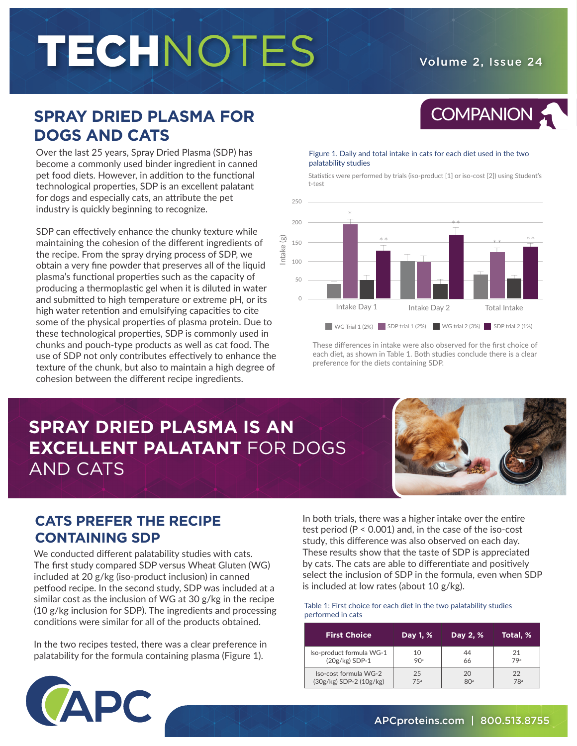# TECHNOTES Volume 2, Issue 24

COMPANION 5

## **SPRAY DRIED PLASMA FOR DOGS AND CATS**

Over the last 25 years, Spray Dried Plasma (SDP) has become a commonly used binder ingredient in canned pet food diets. However, in addition to the functional technological properties, SDP is an excellent palatant for dogs and especially cats, an attribute the pet industry is quickly beginning to recognize.

SDP can effectively enhance the chunky texture while maintaining the cohesion of the different ingredients of the recipe. From the spray drying process of SDP, we obtain a very fine powder that preserves all of the liquid plasma's functional properties such as the capacity of producing a thermoplastic gel when it is diluted in water and submitted to high temperature or extreme pH, or its high water retention and emulsifying capacities to cite some of the physical properties of plasma protein. Due to these technological properties, SDP is commonly used in chunks and pouch-type products as well as cat food. The use of SDP not only contributes effectively to enhance the texture of the chunk, but also to maintain a high degree of cohesion between the different recipe ingredients.

#### Figure 1. Daily and total intake in cats for each diet used in the two palatability studies

Statistics were performed by trials (iso-product [1] or iso-cost [2]) using Student's t-test



These differences in intake were also observed for the first choice of each diet, as shown in Table 1. Both studies conclude there is a clear preference for the diets containing SDP.

## **SPRAY DRIED PLASMA IS AN EXCELLENT PALATANT** FOR DOGS AND CATS



## **CATS PREFER THE RECIPE CONTAINING SDP**

We conducted different palatability studies with cats. The first study compared SDP versus Wheat Gluten (WG) included at 20 g/kg (iso-product inclusion) in canned petfood recipe. In the second study, SDP was included at a similar cost as the inclusion of WG at 30 g/kg in the recipe (10 g/kg inclusion for SDP). The ingredients and processing conditions were similar for all of the products obtained.

In the two recipes tested, there was a clear preference in palatability for the formula containing plasma (Figure 1).

In both trials, there was a higher intake over the entire test period (P < 0.001) and, in the case of the iso-cost study, this difference was also observed on each day. These results show that the taste of SDP is appreciated by cats. The cats are able to differentiate and positively select the inclusion of SDP in the formula, even when SDP is included at low rates (about 10 g/kg).

#### Table 1: First choice for each diet in the two palatability studies performed in cats

| <b>First Choice</b>         | Day 1, % | Day 2, %        | Total, %        |
|-----------------------------|----------|-----------------|-----------------|
| Iso-product formula WG-1    | 10       | 44              | 21              |
| $(20g/kg)$ SDP-1            | 90ª      | 66              | 79 <sup>a</sup> |
| Iso-cost formula WG-2       | 25       | 20              | 22              |
| $(30g/kg)$ SDP-2 $(10g/kg)$ | 75ª      | 80 <sup>a</sup> | 78 <sup>a</sup> |